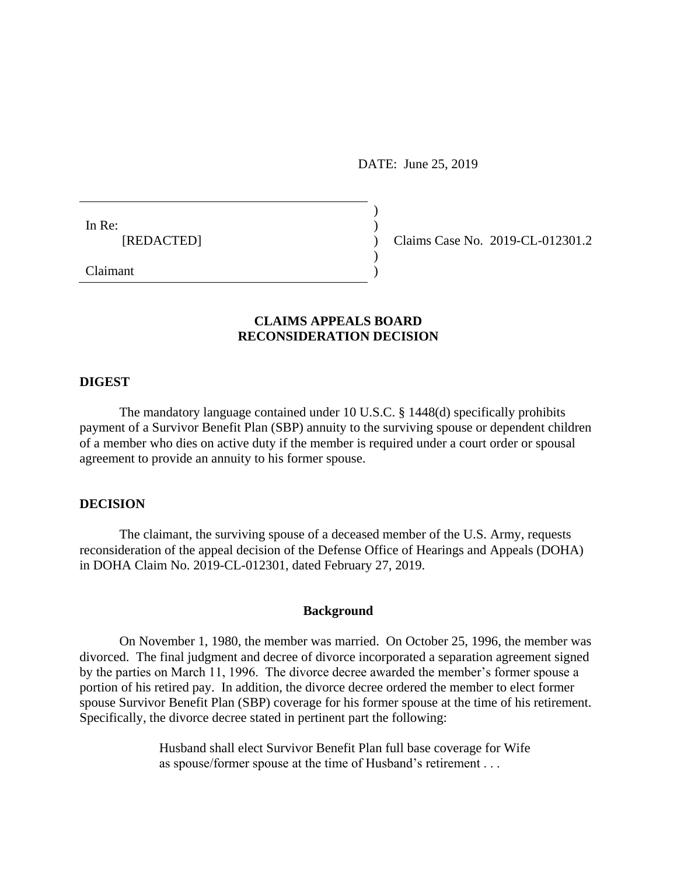DATE: June 25, 2019

) ) ) ) )

In Re: [REDACTED]

Claims Case No. 2019-CL-012301.2

Claimant

## **CLAIMS APPEALS BOARD RECONSIDERATION DECISION**

#### **DIGEST**

The mandatory language contained under 10 U.S.C. § 1448(d) specifically prohibits payment of a Survivor Benefit Plan (SBP) annuity to the surviving spouse or dependent children of a member who dies on active duty if the member is required under a court order or spousal agreement to provide an annuity to his former spouse.

## **DECISION**

The claimant, the surviving spouse of a deceased member of the U.S. Army, requests reconsideration of the appeal decision of the Defense Office of Hearings and Appeals (DOHA) in DOHA Claim No. 2019-CL-012301, dated February 27, 2019.

#### **Background**

On November 1, 1980, the member was married. On October 25, 1996, the member was divorced. The final judgment and decree of divorce incorporated a separation agreement signed by the parties on March 11, 1996. The divorce decree awarded the member's former spouse a portion of his retired pay. In addition, the divorce decree ordered the member to elect former spouse Survivor Benefit Plan (SBP) coverage for his former spouse at the time of his retirement. Specifically, the divorce decree stated in pertinent part the following:

> Husband shall elect Survivor Benefit Plan full base coverage for Wife as spouse/former spouse at the time of Husband's retirement . . .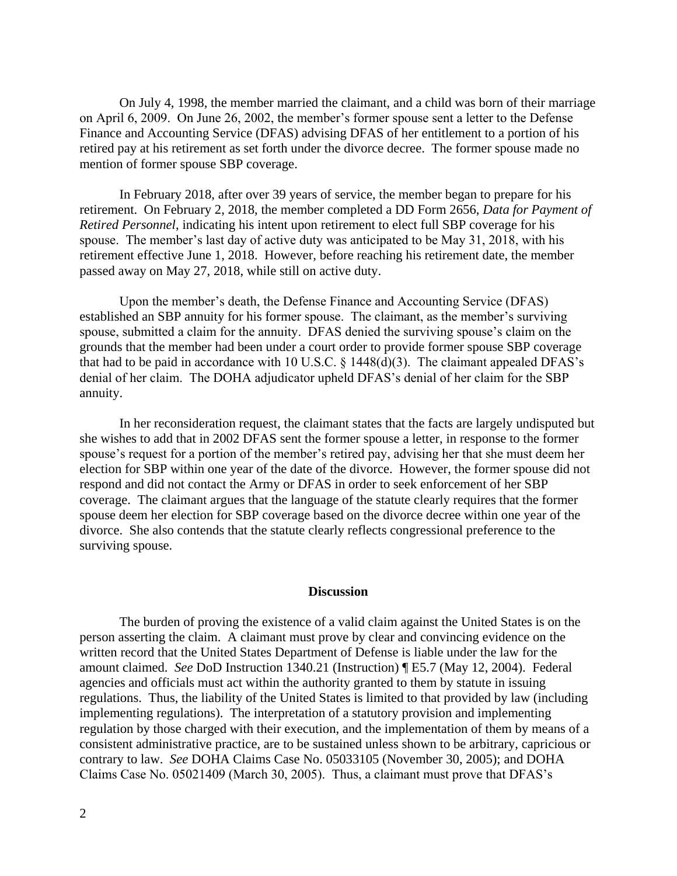On July 4, 1998, the member married the claimant, and a child was born of their marriage on April 6, 2009. On June 26, 2002, the member's former spouse sent a letter to the Defense Finance and Accounting Service (DFAS) advising DFAS of her entitlement to a portion of his retired pay at his retirement as set forth under the divorce decree. The former spouse made no mention of former spouse SBP coverage.

In February 2018, after over 39 years of service, the member began to prepare for his retirement. On February 2, 2018, the member completed a DD Form 2656, *Data for Payment of Retired Personnel*, indicating his intent upon retirement to elect full SBP coverage for his spouse. The member's last day of active duty was anticipated to be May 31, 2018, with his retirement effective June 1, 2018. However, before reaching his retirement date, the member passed away on May 27, 2018, while still on active duty.

Upon the member's death, the Defense Finance and Accounting Service (DFAS) established an SBP annuity for his former spouse. The claimant, as the member's surviving spouse, submitted a claim for the annuity. DFAS denied the surviving spouse's claim on the grounds that the member had been under a court order to provide former spouse SBP coverage that had to be paid in accordance with 10 U.S.C.  $\S$  1448(d)(3). The claimant appealed DFAS's denial of her claim. The DOHA adjudicator upheld DFAS's denial of her claim for the SBP annuity.

In her reconsideration request, the claimant states that the facts are largely undisputed but she wishes to add that in 2002 DFAS sent the former spouse a letter, in response to the former spouse's request for a portion of the member's retired pay, advising her that she must deem her election for SBP within one year of the date of the divorce. However, the former spouse did not respond and did not contact the Army or DFAS in order to seek enforcement of her SBP coverage. The claimant argues that the language of the statute clearly requires that the former spouse deem her election for SBP coverage based on the divorce decree within one year of the divorce. She also contends that the statute clearly reflects congressional preference to the surviving spouse.

## **Discussion**

The burden of proving the existence of a valid claim against the United States is on the person asserting the claim. A claimant must prove by clear and convincing evidence on the written record that the United States Department of Defense is liable under the law for the amount claimed. *See* DoD Instruction 1340.21 (Instruction) ¶ E5.7 (May 12, 2004). Federal agencies and officials must act within the authority granted to them by statute in issuing regulations. Thus, the liability of the United States is limited to that provided by law (including implementing regulations). The interpretation of a statutory provision and implementing regulation by those charged with their execution, and the implementation of them by means of a consistent administrative practice, are to be sustained unless shown to be arbitrary, capricious or contrary to law. *See* DOHA Claims Case No. 05033105 (November 30, 2005); and DOHA Claims Case No. 05021409 (March 30, 2005). Thus, a claimant must prove that DFAS's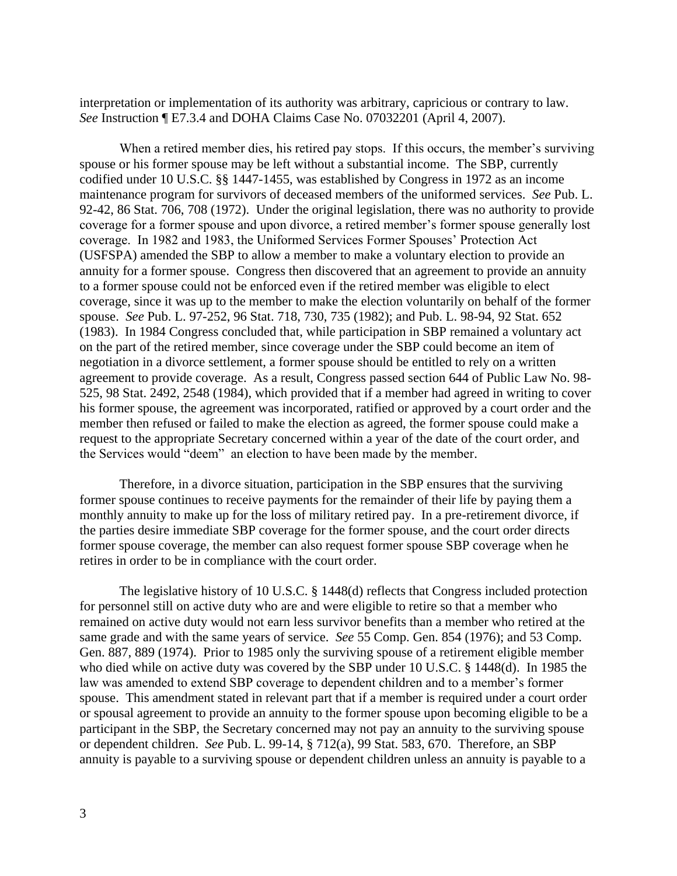interpretation or implementation of its authority was arbitrary, capricious or contrary to law. *See* Instruction ¶ E7.3.4 and DOHA Claims Case No. 07032201 (April 4, 2007).

When a retired member dies, his retired pay stops. If this occurs, the member's surviving spouse or his former spouse may be left without a substantial income. The SBP, currently codified under 10 U.S.C. §§ 1447-1455, was established by Congress in 1972 as an income maintenance program for survivors of deceased members of the uniformed services. *See* Pub. L. 92-42, 86 Stat. 706, 708 (1972). Under the original legislation, there was no authority to provide coverage for a former spouse and upon divorce, a retired member's former spouse generally lost coverage. In 1982 and 1983, the Uniformed Services Former Spouses' Protection Act (USFSPA) amended the SBP to allow a member to make a voluntary election to provide an annuity for a former spouse. Congress then discovered that an agreement to provide an annuity to a former spouse could not be enforced even if the retired member was eligible to elect coverage, since it was up to the member to make the election voluntarily on behalf of the former spouse. *See* Pub. L. 97-252, 96 Stat. 718, 730, 735 (1982); and Pub. L. 98-94, 92 Stat. 652 (1983). In 1984 Congress concluded that, while participation in SBP remained a voluntary act on the part of the retired member, since coverage under the SBP could become an item of negotiation in a divorce settlement, a former spouse should be entitled to rely on a written agreement to provide coverage. As a result, Congress passed section 644 of Public Law No. 98- 525, 98 Stat. 2492, 2548 (1984), which provided that if a member had agreed in writing to cover his former spouse, the agreement was incorporated, ratified or approved by a court order and the member then refused or failed to make the election as agreed, the former spouse could make a request to the appropriate Secretary concerned within a year of the date of the court order, and the Services would "deem" an election to have been made by the member.

Therefore, in a divorce situation, participation in the SBP ensures that the surviving former spouse continues to receive payments for the remainder of their life by paying them a monthly annuity to make up for the loss of military retired pay. In a pre-retirement divorce, if the parties desire immediate SBP coverage for the former spouse, and the court order directs former spouse coverage, the member can also request former spouse SBP coverage when he retires in order to be in compliance with the court order.

The legislative history of 10 U.S.C. § 1448(d) reflects that Congress included protection for personnel still on active duty who are and were eligible to retire so that a member who remained on active duty would not earn less survivor benefits than a member who retired at the same grade and with the same years of service. *See* 55 Comp. Gen. 854 (1976); and 53 Comp. Gen. 887, 889 (1974). Prior to 1985 only the surviving spouse of a retirement eligible member who died while on active duty was covered by the SBP under 10 U.S.C. § 1448(d). In 1985 the law was amended to extend SBP coverage to dependent children and to a member's former spouse. This amendment stated in relevant part that if a member is required under a court order or spousal agreement to provide an annuity to the former spouse upon becoming eligible to be a participant in the SBP, the Secretary concerned may not pay an annuity to the surviving spouse or dependent children. *See* Pub. L. 99-14, § 712(a), 99 Stat. 583, 670. Therefore, an SBP annuity is payable to a surviving spouse or dependent children unless an annuity is payable to a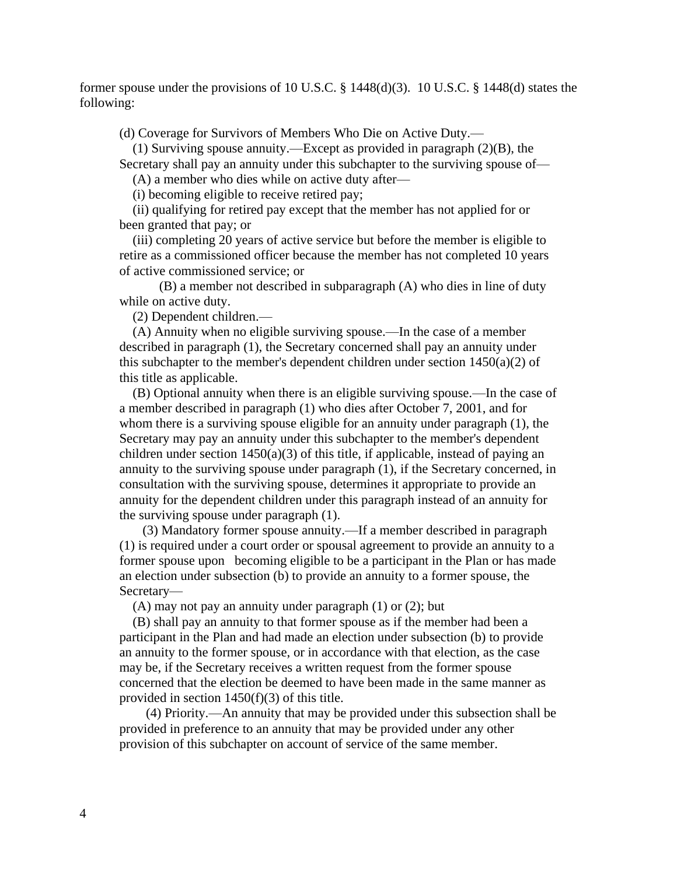former spouse under the provisions of 10 U.S.C. § 1448(d)(3). 10 U.S.C. § 1448(d) states the following:

(d) Coverage for Survivors of Members Who Die on Active Duty.—

(1) Surviving spouse annuity.—Except as provided in paragraph (2)(B), the Secretary shall pay an annuity under this subchapter to the surviving spouse of—

(A) a member who dies while on active duty after—

(i) becoming eligible to receive retired pay;

(ii) qualifying for retired pay except that the member has not applied for or been granted that pay; or

(iii) completing 20 years of active service but before the member is eligible to retire as a commissioned officer because the member has not completed 10 years of active commissioned service; or

 (B) a member not described in subparagraph (A) who dies in line of duty while on active duty.

(2) Dependent children.—

(A) Annuity when no eligible surviving spouse.—In the case of a member described in paragraph (1), the Secretary concerned shall pay an annuity under this subchapter to the member's dependent children under section  $1450(a)(2)$  of this title as applicable.

(B) Optional annuity when there is an eligible surviving spouse.—In the case of a member described in paragraph (1) who dies after October 7, 2001, and for whom there is a surviving spouse eligible for an annuity under paragraph (1), the Secretary may pay an annuity under this subchapter to the member's dependent children under section  $1450(a)(3)$  of this title, if applicable, instead of paying an annuity to the surviving spouse under paragraph (1), if the Secretary concerned, in consultation with the surviving spouse, determines it appropriate to provide an annuity for the dependent children under this paragraph instead of an annuity for the surviving spouse under paragraph (1).

 (3) Mandatory former spouse annuity.—If a member described in paragraph (1) is required under a court order or spousal agreement to provide an annuity to a former spouse upon becoming eligible to be a participant in the Plan or has made an election under subsection (b) to provide an annuity to a former spouse, the Secretary—

(A) may not pay an annuity under paragraph (1) or (2); but

(B) shall pay an annuity to that former spouse as if the member had been a participant in the Plan and had made an election under subsection (b) to provide an annuity to the former spouse, or in accordance with that election, as the case may be, if the Secretary receives a written request from the former spouse concerned that the election be deemed to have been made in the same manner as provided in section 1450(f)(3) of this title.

 (4) Priority.—An annuity that may be provided under this subsection shall be provided in preference to an annuity that may be provided under any other provision of this subchapter on account of service of the same member.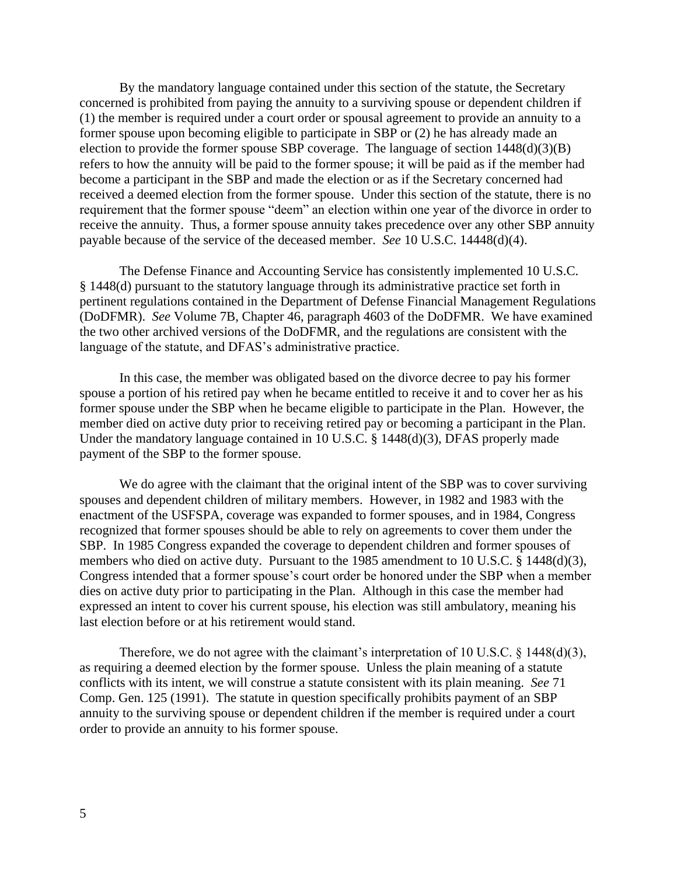By the mandatory language contained under this section of the statute, the Secretary concerned is prohibited from paying the annuity to a surviving spouse or dependent children if (1) the member is required under a court order or spousal agreement to provide an annuity to a former spouse upon becoming eligible to participate in SBP or (2) he has already made an election to provide the former spouse SBP coverage. The language of section  $1448(d)(3)(B)$ refers to how the annuity will be paid to the former spouse; it will be paid as if the member had become a participant in the SBP and made the election or as if the Secretary concerned had received a deemed election from the former spouse. Under this section of the statute, there is no requirement that the former spouse "deem" an election within one year of the divorce in order to receive the annuity. Thus, a former spouse annuity takes precedence over any other SBP annuity payable because of the service of the deceased member. *See* 10 U.S.C. 14448(d)(4).

The Defense Finance and Accounting Service has consistently implemented 10 U.S.C. § 1448(d) pursuant to the statutory language through its administrative practice set forth in pertinent regulations contained in the Department of Defense Financial Management Regulations (DoDFMR). *See* Volume 7B, Chapter 46, paragraph 4603 of the DoDFMR. We have examined the two other archived versions of the DoDFMR, and the regulations are consistent with the language of the statute, and DFAS's administrative practice.

In this case, the member was obligated based on the divorce decree to pay his former spouse a portion of his retired pay when he became entitled to receive it and to cover her as his former spouse under the SBP when he became eligible to participate in the Plan. However, the member died on active duty prior to receiving retired pay or becoming a participant in the Plan. Under the mandatory language contained in 10 U.S.C. § 1448(d)(3), DFAS properly made payment of the SBP to the former spouse.

We do agree with the claimant that the original intent of the SBP was to cover surviving spouses and dependent children of military members. However, in 1982 and 1983 with the enactment of the USFSPA, coverage was expanded to former spouses, and in 1984, Congress recognized that former spouses should be able to rely on agreements to cover them under the SBP. In 1985 Congress expanded the coverage to dependent children and former spouses of members who died on active duty. Pursuant to the 1985 amendment to 10 U.S.C. § 1448(d)(3), Congress intended that a former spouse's court order be honored under the SBP when a member dies on active duty prior to participating in the Plan. Although in this case the member had expressed an intent to cover his current spouse, his election was still ambulatory, meaning his last election before or at his retirement would stand.

Therefore, we do not agree with the claimant's interpretation of 10 U.S.C.  $\S$  1448(d)(3), as requiring a deemed election by the former spouse. Unless the plain meaning of a statute conflicts with its intent, we will construe a statute consistent with its plain meaning. *See* 71 Comp. Gen. 125 (1991). The statute in question specifically prohibits payment of an SBP annuity to the surviving spouse or dependent children if the member is required under a court order to provide an annuity to his former spouse.